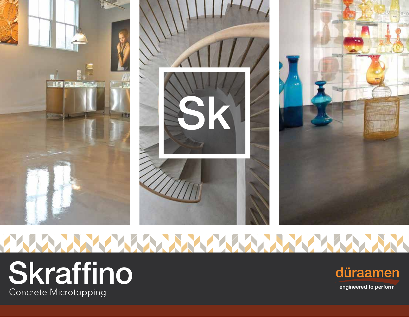

# **[Skraffino](https://duraamen.com/shop/floor-kits/concrete-microtopping-floor-kit/)** Concrete Microtopping



engineered to perform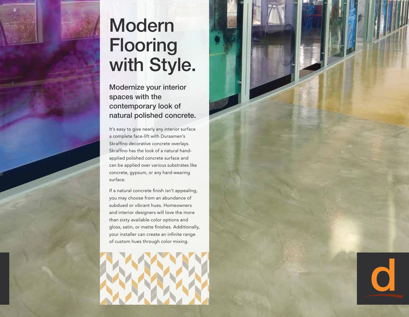

### **Modern** Flooring with Style.

Modernize your interior spaces with the contemporary look of natural polished concrete.

It's easy to give nearly any interior surface a complete face-lift with Duraamen's Skraffino decorative concrete overlays. Skraffino has the look of a natural handapplied polished concrete surface and can be applied over various substrates like concrete, gypsum, or any hard-wearing surface.

If a natural concrete finish isn't appealing, you may choose from an abundance of subdued or vibrant hues. Homeowners and interior designers will love the more than sixty available color options and gloss, satin, or matte finishes. Additionally, your installer can create an infinite range of custom hues through color mixing.



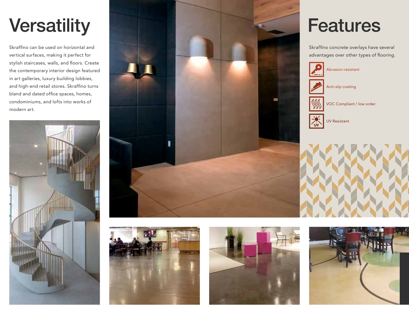## **Versatility**

Skraffino can be used on horizontal and vertical surfaces, making it perfect for stylish staircases, walls, and floors. Create the contemporary interior design featured in art galleries, luxury building lobbies, and high-end retail stores. Skraffino turns bland and dated office spaces, homes, condominiums, and lofts into works of modern art.









#### Features

Skraffino concrete overlays have several advantages over other types of flooring.



Abrasion-resistant



VOC Compliant / low order